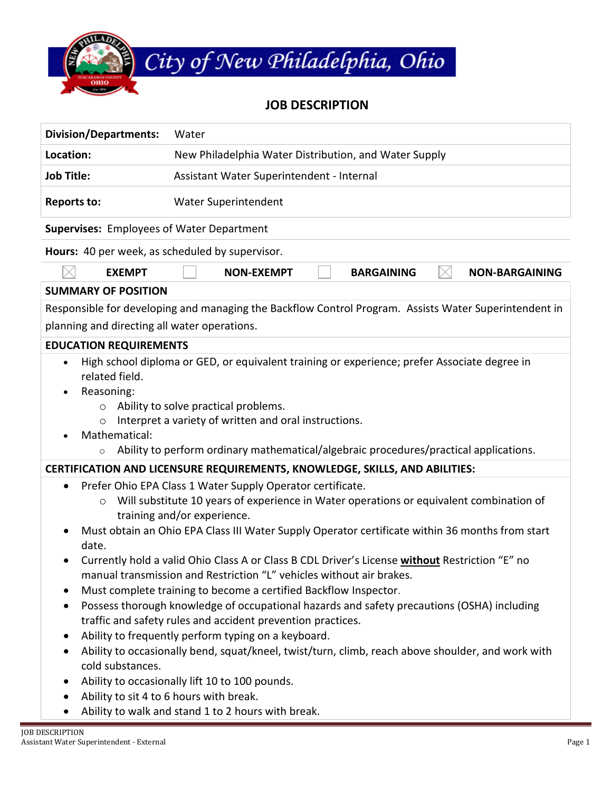

## **JOB DESCRIPTION**

| <b>Division/Departments:</b><br>Water                                                                                                                                                                                                                                                                                                                                                                                                                                                                                                                                                                                                                                                                                                                                                                                                                                                                                                                                                           |  |  |
|-------------------------------------------------------------------------------------------------------------------------------------------------------------------------------------------------------------------------------------------------------------------------------------------------------------------------------------------------------------------------------------------------------------------------------------------------------------------------------------------------------------------------------------------------------------------------------------------------------------------------------------------------------------------------------------------------------------------------------------------------------------------------------------------------------------------------------------------------------------------------------------------------------------------------------------------------------------------------------------------------|--|--|
| Location:<br>New Philadelphia Water Distribution, and Water Supply                                                                                                                                                                                                                                                                                                                                                                                                                                                                                                                                                                                                                                                                                                                                                                                                                                                                                                                              |  |  |
| <b>Job Title:</b><br>Assistant Water Superintendent - Internal                                                                                                                                                                                                                                                                                                                                                                                                                                                                                                                                                                                                                                                                                                                                                                                                                                                                                                                                  |  |  |
| Water Superintendent<br><b>Reports to:</b>                                                                                                                                                                                                                                                                                                                                                                                                                                                                                                                                                                                                                                                                                                                                                                                                                                                                                                                                                      |  |  |
| <b>Supervises:</b> Employees of Water Department                                                                                                                                                                                                                                                                                                                                                                                                                                                                                                                                                                                                                                                                                                                                                                                                                                                                                                                                                |  |  |
| Hours: 40 per week, as scheduled by supervisor.                                                                                                                                                                                                                                                                                                                                                                                                                                                                                                                                                                                                                                                                                                                                                                                                                                                                                                                                                 |  |  |
| <b>EXEMPT</b><br><b>NON-EXEMPT</b><br><b>BARGAINING</b><br><b>NON-BARGAINING</b>                                                                                                                                                                                                                                                                                                                                                                                                                                                                                                                                                                                                                                                                                                                                                                                                                                                                                                                |  |  |
| <b>SUMMARY OF POSITION</b>                                                                                                                                                                                                                                                                                                                                                                                                                                                                                                                                                                                                                                                                                                                                                                                                                                                                                                                                                                      |  |  |
| Responsible for developing and managing the Backflow Control Program. Assists Water Superintendent in<br>planning and directing all water operations.                                                                                                                                                                                                                                                                                                                                                                                                                                                                                                                                                                                                                                                                                                                                                                                                                                           |  |  |
| <b>EDUCATION REQUIREMENTS</b>                                                                                                                                                                                                                                                                                                                                                                                                                                                                                                                                                                                                                                                                                                                                                                                                                                                                                                                                                                   |  |  |
| High school diploma or GED, or equivalent training or experience; prefer Associate degree in<br>$\bullet$<br>related field.<br>Reasoning:<br>$\bullet$<br>Ability to solve practical problems.<br>$\circ$<br>Interpret a variety of written and oral instructions.<br>$\circ$<br>Mathematical:<br>Ability to perform ordinary mathematical/algebraic procedures/practical applications.                                                                                                                                                                                                                                                                                                                                                                                                                                                                                                                                                                                                         |  |  |
| <b>CERTIFICATION AND LICENSURE REQUIREMENTS, KNOWLEDGE, SKILLS, AND ABILITIES:</b>                                                                                                                                                                                                                                                                                                                                                                                                                                                                                                                                                                                                                                                                                                                                                                                                                                                                                                              |  |  |
| Prefer Ohio EPA Class 1 Water Supply Operator certificate.<br>$\bullet$<br>Will substitute 10 years of experience in Water operations or equivalent combination of<br>$\circ$<br>training and/or experience.<br>Must obtain an Ohio EPA Class III Water Supply Operator certificate within 36 months from start<br>date.<br>Currently hold a valid Ohio Class A or Class B CDL Driver's License without Restriction "E" no<br>manual transmission and Restriction "L" vehicles without air brakes.<br>Must complete training to become a certified Backflow Inspector.<br>Possess thorough knowledge of occupational hazards and safety precautions (OSHA) including<br>$\bullet$<br>traffic and safety rules and accident prevention practices.<br>Ability to frequently perform typing on a keyboard.<br>$\bullet$<br>Ability to occasionally bend, squat/kneel, twist/turn, climb, reach above shoulder, and work with<br>cold substances.<br>Ability to occasionally lift 10 to 100 pounds. |  |  |
| Ability to sit 4 to 6 hours with break.<br>Ability to walk and stand 1 to 2 hours with break.                                                                                                                                                                                                                                                                                                                                                                                                                                                                                                                                                                                                                                                                                                                                                                                                                                                                                                   |  |  |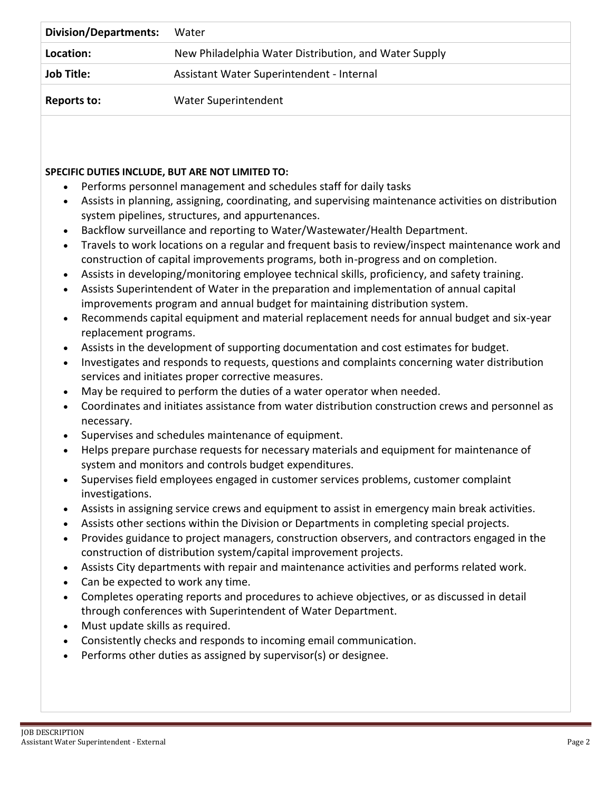| <b>Division/Departments:</b> | Water                                                 |
|------------------------------|-------------------------------------------------------|
| Location:                    | New Philadelphia Water Distribution, and Water Supply |
| <b>Job Title:</b>            | Assistant Water Superintendent - Internal             |
| Reports to:                  | Water Superintendent                                  |

## **SPECIFIC DUTIES INCLUDE, BUT ARE NOT LIMITED TO:**

- Performs personnel management and schedules staff for daily tasks
- Assists in planning, assigning, coordinating, and supervising maintenance activities on distribution system pipelines, structures, and appurtenances.
- Backflow surveillance and reporting to Water/Wastewater/Health Department.
- Travels to work locations on a regular and frequent basis to review/inspect maintenance work and construction of capital improvements programs, both in-progress and on completion.
- Assists in developing/monitoring employee technical skills, proficiency, and safety training.
- Assists Superintendent of Water in the preparation and implementation of annual capital improvements program and annual budget for maintaining distribution system.
- Recommends capital equipment and material replacement needs for annual budget and six-year replacement programs.
- Assists in the development of supporting documentation and cost estimates for budget.
- Investigates and responds to requests, questions and complaints concerning water distribution services and initiates proper corrective measures.
- May be required to perform the duties of a water operator when needed.
- Coordinates and initiates assistance from water distribution construction crews and personnel as necessary.
- Supervises and schedules maintenance of equipment.
- Helps prepare purchase requests for necessary materials and equipment for maintenance of system and monitors and controls budget expenditures.
- Supervises field employees engaged in customer services problems, customer complaint investigations.
- Assists in assigning service crews and equipment to assist in emergency main break activities.
- Assists other sections within the Division or Departments in completing special projects.
- Provides guidance to project managers, construction observers, and contractors engaged in the construction of distribution system/capital improvement projects.
- Assists City departments with repair and maintenance activities and performs related work.
- Can be expected to work any time.
- Completes operating reports and procedures to achieve objectives, or as discussed in detail through conferences with Superintendent of Water Department.
- Must update skills as required.
- Consistently checks and responds to incoming email communication.
- Performs other duties as assigned by supervisor(s) or designee.